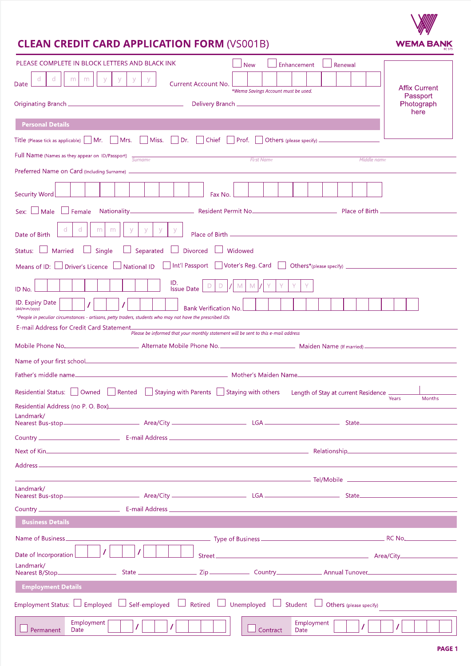# **CLEAN CREDIT CARD APPLICATION FORM (VS001B)**

| PLEASE COMPLETE IN BLOCK LETTERS AND BLACK INK                                                                                                                                                                                       | <b>New</b>                          |          |  | Enhancement        |  | Renewal |  |  |                                  |  |
|--------------------------------------------------------------------------------------------------------------------------------------------------------------------------------------------------------------------------------------|-------------------------------------|----------|--|--------------------|--|---------|--|--|----------------------------------|--|
| d<br>$\mathsf{y}$<br>ď<br>m<br>m<br>У<br>У<br>У<br><b>Current Account No.</b><br>Date                                                                                                                                                |                                     |          |  |                    |  |         |  |  |                                  |  |
|                                                                                                                                                                                                                                      | *Wema Savings Account must be used. |          |  |                    |  |         |  |  | <b>Affix Current</b><br>Passport |  |
| Photograph<br>here                                                                                                                                                                                                                   |                                     |          |  |                    |  |         |  |  |                                  |  |
| <b>Personal Details</b>                                                                                                                                                                                                              |                                     |          |  |                    |  |         |  |  |                                  |  |
| Title (Please tick as applicable) Mr. Mrs. Miss. Dr. Chief Prof. Others (please specify) __________                                                                                                                                  |                                     |          |  |                    |  |         |  |  |                                  |  |
| Full Name (Names as they appear on ID/Passport) $\frac{Surname}{Surname}$<br><b>First Name</b><br><b>Middle name</b>                                                                                                                 |                                     |          |  |                    |  |         |  |  |                                  |  |
|                                                                                                                                                                                                                                      |                                     |          |  |                    |  |         |  |  |                                  |  |
| <b>Security Word</b><br>Fax No.                                                                                                                                                                                                      |                                     |          |  |                    |  |         |  |  |                                  |  |
| Male<br>$\Box$ Female<br>Sex:                                                                                                                                                                                                        |                                     |          |  |                    |  |         |  |  |                                  |  |
| d<br>m<br>m<br>y.<br>У<br>y.<br>y<br>Date of Birth                                                                                                                                                                                   |                                     |          |  |                    |  |         |  |  |                                  |  |
| Separated<br><b>Divorced</b><br>Married<br>Single<br>$\Box$<br>Status:                                                                                                                                                               | Widowed                             |          |  |                    |  |         |  |  |                                  |  |
| □ Int'l Passport □ Voter's Reg. Card<br><b>National ID</b><br><b>Driver's Licence</b><br>Means of ID:                                                                                                                                |                                     |          |  |                    |  |         |  |  |                                  |  |
| ID.<br>$M_{\odot}$<br>D<br>M<br>D<br><b>Issue Date</b><br>ID No.                                                                                                                                                                     |                                     |          |  |                    |  |         |  |  |                                  |  |
| <b>ID.</b> Expiry Date<br><b>Bank Verification No.</b><br>(dd/mm/yyyy)                                                                                                                                                               |                                     |          |  |                    |  |         |  |  |                                  |  |
| *People in peculiar circumstances - artisans, petty traders, students who may not have the prescribed IDs<br>E-mail Address for Credit Card Statement                                                                                |                                     |          |  |                    |  |         |  |  |                                  |  |
| .<br>Please be informed that your monthly statement will be sent to this e-mail address<br>Mobile Phone No. 2008 Communication and Alternate Mobile Phone No. 2008 Communication Marked Marked Mobile Phone No.                      |                                     |          |  |                    |  |         |  |  |                                  |  |
|                                                                                                                                                                                                                                      |                                     |          |  |                    |  |         |  |  |                                  |  |
|                                                                                                                                                                                                                                      |                                     |          |  |                    |  |         |  |  |                                  |  |
| □ Staying with Parents □ Staying with others Length of Stay at current Residence =<br>Residential Status:     Owned     Rented                                                                                                       |                                     |          |  |                    |  |         |  |  |                                  |  |
|                                                                                                                                                                                                                                      |                                     |          |  |                    |  |         |  |  | Years<br>Months                  |  |
| Landmark/                                                                                                                                                                                                                            |                                     |          |  |                    |  |         |  |  |                                  |  |
|                                                                                                                                                                                                                                      |                                     |          |  |                    |  |         |  |  |                                  |  |
| Next of Kin <b>Exercía Contract Contract Contract Contract Contract Contract Contract Contract Contract Contract Contract Contract Contract Contract Contract Contract Contract Contract Contract Contract Contract Contract Con</b> |                                     |          |  |                    |  |         |  |  |                                  |  |
|                                                                                                                                                                                                                                      |                                     |          |  |                    |  |         |  |  |                                  |  |
| Landmark/                                                                                                                                                                                                                            |                                     |          |  |                    |  |         |  |  |                                  |  |
|                                                                                                                                                                                                                                      |                                     |          |  |                    |  |         |  |  |                                  |  |
|                                                                                                                                                                                                                                      |                                     |          |  |                    |  |         |  |  |                                  |  |
| <b>Business Details</b>                                                                                                                                                                                                              |                                     |          |  |                    |  |         |  |  |                                  |  |
| Name of Business____________<br>T<br>T                                                                                                                                                                                               |                                     |          |  |                    |  |         |  |  |                                  |  |
| Date of Incorporation<br>Landmark/                                                                                                                                                                                                   |                                     |          |  |                    |  |         |  |  |                                  |  |
|                                                                                                                                                                                                                                      |                                     |          |  |                    |  |         |  |  |                                  |  |
| <b>Employment Details</b>                                                                                                                                                                                                            |                                     |          |  |                    |  |         |  |  |                                  |  |
| Employment Status: $\Box$ Employed $\Box$ Self-employed $\Box$ Retired $\Box$ Unemployed $\Box$ Student $\Box$ Others (please specify)                                                                                               |                                     |          |  |                    |  |         |  |  |                                  |  |
| Employment<br>T<br>Permanent<br>Date                                                                                                                                                                                                 |                                     | Contract |  | Employment<br>Date |  |         |  |  |                                  |  |

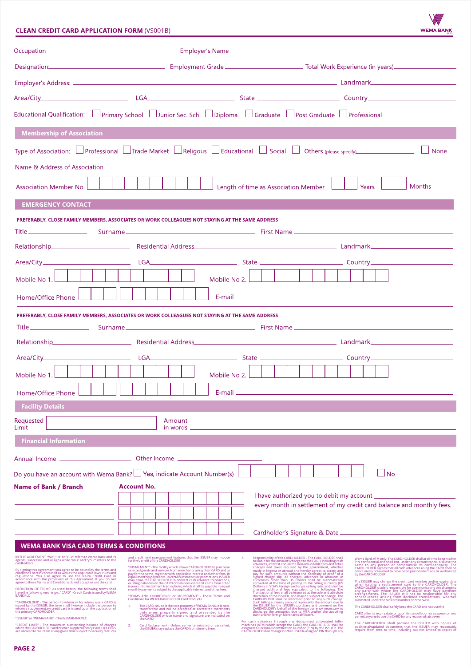# **CLEAN CREDIT CARD APPLICATION FORM (VS001B)**

| <b>WEMA BANK</b> |  |  |  |
|------------------|--|--|--|
|                  |  |  |  |
|                  |  |  |  |
|                  |  |  |  |
|                  |  |  |  |

|                                                                                                                                                                                                                                                                                                                                                                                                                                                                                        |                                                                                                                                                                                                                                                                                                                                                                                                                                                                                                                                                                               |                                      | Designation: <b>Contract Contract Contract Contract Contract Contract Contract Contract Contract Contract Contract Contract Contract Contract Contract Contract Contract Contract Contract Contract Contract Contract Contract C</b>                                                                                                                                                                                                                                                                                                                                                                                                                                                                                                                                                                                                                                                                                                                                          |
|----------------------------------------------------------------------------------------------------------------------------------------------------------------------------------------------------------------------------------------------------------------------------------------------------------------------------------------------------------------------------------------------------------------------------------------------------------------------------------------|-------------------------------------------------------------------------------------------------------------------------------------------------------------------------------------------------------------------------------------------------------------------------------------------------------------------------------------------------------------------------------------------------------------------------------------------------------------------------------------------------------------------------------------------------------------------------------|--------------------------------------|-------------------------------------------------------------------------------------------------------------------------------------------------------------------------------------------------------------------------------------------------------------------------------------------------------------------------------------------------------------------------------------------------------------------------------------------------------------------------------------------------------------------------------------------------------------------------------------------------------------------------------------------------------------------------------------------------------------------------------------------------------------------------------------------------------------------------------------------------------------------------------------------------------------------------------------------------------------------------------|
|                                                                                                                                                                                                                                                                                                                                                                                                                                                                                        |                                                                                                                                                                                                                                                                                                                                                                                                                                                                                                                                                                               |                                      |                                                                                                                                                                                                                                                                                                                                                                                                                                                                                                                                                                                                                                                                                                                                                                                                                                                                                                                                                                               |
|                                                                                                                                                                                                                                                                                                                                                                                                                                                                                        |                                                                                                                                                                                                                                                                                                                                                                                                                                                                                                                                                                               |                                      |                                                                                                                                                                                                                                                                                                                                                                                                                                                                                                                                                                                                                                                                                                                                                                                                                                                                                                                                                                               |
| Educational Qualification: Primary School Dinlor Sec. Sch. Diploma Graduate Post Graduate Professional                                                                                                                                                                                                                                                                                                                                                                                 |                                                                                                                                                                                                                                                                                                                                                                                                                                                                                                                                                                               |                                      |                                                                                                                                                                                                                                                                                                                                                                                                                                                                                                                                                                                                                                                                                                                                                                                                                                                                                                                                                                               |
| <b>Membership of Association</b>                                                                                                                                                                                                                                                                                                                                                                                                                                                       |                                                                                                                                                                                                                                                                                                                                                                                                                                                                                                                                                                               |                                      |                                                                                                                                                                                                                                                                                                                                                                                                                                                                                                                                                                                                                                                                                                                                                                                                                                                                                                                                                                               |
|                                                                                                                                                                                                                                                                                                                                                                                                                                                                                        |                                                                                                                                                                                                                                                                                                                                                                                                                                                                                                                                                                               |                                      | Type of Association: $\Box$ Professional $\Box$ Trade Market $\Box$ Religous $\Box$ Educational $\Box$ Social $\Box$ Others (please specify)<br>$\vert$ None                                                                                                                                                                                                                                                                                                                                                                                                                                                                                                                                                                                                                                                                                                                                                                                                                  |
|                                                                                                                                                                                                                                                                                                                                                                                                                                                                                        |                                                                                                                                                                                                                                                                                                                                                                                                                                                                                                                                                                               |                                      |                                                                                                                                                                                                                                                                                                                                                                                                                                                                                                                                                                                                                                                                                                                                                                                                                                                                                                                                                                               |
| <b>Association Member No.</b>                                                                                                                                                                                                                                                                                                                                                                                                                                                          |                                                                                                                                                                                                                                                                                                                                                                                                                                                                                                                                                                               | Length of time as Association Member | <b>Months</b><br>Years                                                                                                                                                                                                                                                                                                                                                                                                                                                                                                                                                                                                                                                                                                                                                                                                                                                                                                                                                        |
| <b>EMERGENCY CONTACT</b>                                                                                                                                                                                                                                                                                                                                                                                                                                                               |                                                                                                                                                                                                                                                                                                                                                                                                                                                                                                                                                                               |                                      |                                                                                                                                                                                                                                                                                                                                                                                                                                                                                                                                                                                                                                                                                                                                                                                                                                                                                                                                                                               |
| PREFERABLY, CLOSE FAMILY MEMBERS, ASSOCIATES OR WORK COLLEAGUES NOT STAYING AT THE SAME ADDRESS                                                                                                                                                                                                                                                                                                                                                                                        |                                                                                                                                                                                                                                                                                                                                                                                                                                                                                                                                                                               |                                      |                                                                                                                                                                                                                                                                                                                                                                                                                                                                                                                                                                                                                                                                                                                                                                                                                                                                                                                                                                               |
|                                                                                                                                                                                                                                                                                                                                                                                                                                                                                        |                                                                                                                                                                                                                                                                                                                                                                                                                                                                                                                                                                               |                                      |                                                                                                                                                                                                                                                                                                                                                                                                                                                                                                                                                                                                                                                                                                                                                                                                                                                                                                                                                                               |
|                                                                                                                                                                                                                                                                                                                                                                                                                                                                                        |                                                                                                                                                                                                                                                                                                                                                                                                                                                                                                                                                                               |                                      |                                                                                                                                                                                                                                                                                                                                                                                                                                                                                                                                                                                                                                                                                                                                                                                                                                                                                                                                                                               |
|                                                                                                                                                                                                                                                                                                                                                                                                                                                                                        |                                                                                                                                                                                                                                                                                                                                                                                                                                                                                                                                                                               |                                      |                                                                                                                                                                                                                                                                                                                                                                                                                                                                                                                                                                                                                                                                                                                                                                                                                                                                                                                                                                               |
| Mobile No 1.                                                                                                                                                                                                                                                                                                                                                                                                                                                                           |                                                                                                                                                                                                                                                                                                                                                                                                                                                                                                                                                                               | Mobile No 2.                         |                                                                                                                                                                                                                                                                                                                                                                                                                                                                                                                                                                                                                                                                                                                                                                                                                                                                                                                                                                               |
| Home/Office Phone                                                                                                                                                                                                                                                                                                                                                                                                                                                                      |                                                                                                                                                                                                                                                                                                                                                                                                                                                                                                                                                                               |                                      |                                                                                                                                                                                                                                                                                                                                                                                                                                                                                                                                                                                                                                                                                                                                                                                                                                                                                                                                                                               |
| PREFERABLY, CLOSE FAMILY MEMBERS, ASSOCIATES OR WORK COLLEAGUES NOT STAYING AT THE SAME ADDRESS                                                                                                                                                                                                                                                                                                                                                                                        |                                                                                                                                                                                                                                                                                                                                                                                                                                                                                                                                                                               |                                      |                                                                                                                                                                                                                                                                                                                                                                                                                                                                                                                                                                                                                                                                                                                                                                                                                                                                                                                                                                               |
|                                                                                                                                                                                                                                                                                                                                                                                                                                                                                        |                                                                                                                                                                                                                                                                                                                                                                                                                                                                                                                                                                               |                                      |                                                                                                                                                                                                                                                                                                                                                                                                                                                                                                                                                                                                                                                                                                                                                                                                                                                                                                                                                                               |
|                                                                                                                                                                                                                                                                                                                                                                                                                                                                                        |                                                                                                                                                                                                                                                                                                                                                                                                                                                                                                                                                                               |                                      | Relationship <b>Contract Contract Contract Contract Contract Contract Contract Contract Contract Contract Contract Contract Contract Contract Contract Contract Contract Contract Contract Contract Contract Contract Contract C</b>                                                                                                                                                                                                                                                                                                                                                                                                                                                                                                                                                                                                                                                                                                                                          |
|                                                                                                                                                                                                                                                                                                                                                                                                                                                                                        |                                                                                                                                                                                                                                                                                                                                                                                                                                                                                                                                                                               |                                      |                                                                                                                                                                                                                                                                                                                                                                                                                                                                                                                                                                                                                                                                                                                                                                                                                                                                                                                                                                               |
| Mobile No 1.                                                                                                                                                                                                                                                                                                                                                                                                                                                                           |                                                                                                                                                                                                                                                                                                                                                                                                                                                                                                                                                                               | Mobile No 2.                         |                                                                                                                                                                                                                                                                                                                                                                                                                                                                                                                                                                                                                                                                                                                                                                                                                                                                                                                                                                               |
| Home/Office Phone                                                                                                                                                                                                                                                                                                                                                                                                                                                                      |                                                                                                                                                                                                                                                                                                                                                                                                                                                                                                                                                                               |                                      | E-mail and the contract of the contract of the contract of the contract of the contract of the contract of the                                                                                                                                                                                                                                                                                                                                                                                                                                                                                                                                                                                                                                                                                                                                                                                                                                                                |
| <b>Facility Details</b>                                                                                                                                                                                                                                                                                                                                                                                                                                                                |                                                                                                                                                                                                                                                                                                                                                                                                                                                                                                                                                                               |                                      |                                                                                                                                                                                                                                                                                                                                                                                                                                                                                                                                                                                                                                                                                                                                                                                                                                                                                                                                                                               |
| Requested<br>Limit                                                                                                                                                                                                                                                                                                                                                                                                                                                                     | Amount<br>in words                                                                                                                                                                                                                                                                                                                                                                                                                                                                                                                                                            |                                      |                                                                                                                                                                                                                                                                                                                                                                                                                                                                                                                                                                                                                                                                                                                                                                                                                                                                                                                                                                               |
| <b>Financial Information</b>                                                                                                                                                                                                                                                                                                                                                                                                                                                           |                                                                                                                                                                                                                                                                                                                                                                                                                                                                                                                                                                               |                                      |                                                                                                                                                                                                                                                                                                                                                                                                                                                                                                                                                                                                                                                                                                                                                                                                                                                                                                                                                                               |
| Annual Income -                                                                                                                                                                                                                                                                                                                                                                                                                                                                        |                                                                                                                                                                                                                                                                                                                                                                                                                                                                                                                                                                               |                                      |                                                                                                                                                                                                                                                                                                                                                                                                                                                                                                                                                                                                                                                                                                                                                                                                                                                                                                                                                                               |
| Do you have an account with Wema Bank? Ses, indicate Account Number(s)                                                                                                                                                                                                                                                                                                                                                                                                                 |                                                                                                                                                                                                                                                                                                                                                                                                                                                                                                                                                                               |                                      | - No                                                                                                                                                                                                                                                                                                                                                                                                                                                                                                                                                                                                                                                                                                                                                                                                                                                                                                                                                                          |
| <b>Name of Bank / Branch</b>                                                                                                                                                                                                                                                                                                                                                                                                                                                           | Account No.                                                                                                                                                                                                                                                                                                                                                                                                                                                                                                                                                                   |                                      |                                                                                                                                                                                                                                                                                                                                                                                                                                                                                                                                                                                                                                                                                                                                                                                                                                                                                                                                                                               |
|                                                                                                                                                                                                                                                                                                                                                                                                                                                                                        |                                                                                                                                                                                                                                                                                                                                                                                                                                                                                                                                                                               |                                      | I have authorized you to debit my account<br>every month in settlement of my credit card balance and monthly fees.                                                                                                                                                                                                                                                                                                                                                                                                                                                                                                                                                                                                                                                                                                                                                                                                                                                            |
|                                                                                                                                                                                                                                                                                                                                                                                                                                                                                        |                                                                                                                                                                                                                                                                                                                                                                                                                                                                                                                                                                               |                                      |                                                                                                                                                                                                                                                                                                                                                                                                                                                                                                                                                                                                                                                                                                                                                                                                                                                                                                                                                                               |
|                                                                                                                                                                                                                                                                                                                                                                                                                                                                                        |                                                                                                                                                                                                                                                                                                                                                                                                                                                                                                                                                                               |                                      |                                                                                                                                                                                                                                                                                                                                                                                                                                                                                                                                                                                                                                                                                                                                                                                                                                                                                                                                                                               |
| <b>WEMA BANK VISA CARD TERMS &amp; CONDITIONS</b>                                                                                                                                                                                                                                                                                                                                                                                                                                      |                                                                                                                                                                                                                                                                                                                                                                                                                                                                                                                                                                               |                                      |                                                                                                                                                                                                                                                                                                                                                                                                                                                                                                                                                                                                                                                                                                                                                                                                                                                                                                                                                                               |
| IN THIS AGREEMENT, "We", "us" or "Our" refers to Wema bank and its<br>agents, successor and assigns while "you" and "your" refers to the<br>cardholders.                                                                                                                                                                                                                                                                                                                               | and credit limit management features that the ISSUER may impose<br>for the benefit of the CARDHOLDER                                                                                                                                                                                                                                                                                                                                                                                                                                                                          |                                      | Responsibility of the CARDHOLDER - The CARDHOLDER shall<br>Wema Bank ATM only. The CARDHOLDER shall at all time keep his/her<br>PIN confidential and shall not, under any driven instance, disclose the<br>same to any person or compromise its confidentiality. The<br>CARDHOLDER agrees that all<br>be liable for the amounts charged to the CARD, including cash<br>advances, interest and all the non-refundable fees and other                                                                                                                                                                                                                                                                                                                                                                                                                                                                                                                                           |
| By signing this Agreement you agree to be bound by the terms and<br>cóndítions herein contained as well as the applicablé laws, rules and<br>regulations. You also agree to use the Naira Credit Card in accordance with the provisions of this Agreement. If you do not<br>agree to these Terms and Conditions do not accept or use the card.<br>DEFINITION OF TERMS: As used herein, the following terms shall<br>have the following meaning/s: "CARD" - Credit Cards issued by WEMA | "INSTALMENT" - The facility which allows CARDHOLDERS to purchase<br>selected goods and services from merchants using their CARD and to<br>pay for the same, together with applicable interest and other fees, in<br>equal monthly payments. In certain instances or promotions, ISSUER<br>may allow the CARDHOLDER to convert cash advance transactions, existing balances on the CARD or balances on credit cards from other<br>issuers into instalment transactions, which shall be payable in equal<br>monthly payments subject to the applicable interest and other fees. |                                      | charges and taxes required by the government, whether<br>made in Nigeria or abroad and hereby agrees to accept and<br>pay for such amounts without the necessity of proof of a<br>by the CARDHOLDER.<br>play to such amounts without the hetersesty of proof of signed charge slip. All charges, advances or amounts in<br>correncies other than US Dollars shall be automatically<br>converted at the time of posting to the billing curren<br>The ISSUER may change the credit card number and/or expiry date<br>when issuing a replacement card to the CARDHOLDER. The<br>CARDHOLDER is solely responsible for communicating this change to                                                                                                                                                                                                                                                                                                                                |
| <b>BANK PLC</b><br>"CARDHOLDER" - The person to whom or for whose use a CARD is<br>issued by the ISSUER; the term shall likewise include the person to<br>whom a supplementary credit card is issued upon the application of<br>the primary CARDHOLDER                                                                                                                                                                                                                                 | "TERMS AND CONDITIONS" or "AGREEMENT" - These Terms and<br>Conditions for WEMA BANK's Credit Card Products<br>The CARD issued is the sole property of WEMA BANK. It is non-<br>1.<br>transferable and will be accepted at accredited merchants<br>only when properly signed and presented by the<br>CARDHOLDER whose name and signature are indicated on                                                                                                                                                                                                                      |                                      | charged additional fees equivalent to the following: The Transactional fees shall be imposed at the sole and absolute discretion of the ISSUER, and may be subject to change. The<br>any party with whom the CARDHOLDER may have payment<br>arrangements. The ISSUER will not be responsible for any<br>consequences arising from declined transactions, whether<br>CARDHOLDER shall be informed prior to any such change.<br>Such billing currency amount represents the amount due to<br>the ISSUER for the ISSUER's purchase and payment on the<br>submitted under the old card number or otherwise.<br>The CARDHOLDER shall safely keep the CARD and not use the<br>CARDHOLDER's behalf of the foreign currency necessary to<br>discharge the amount/s due to VISA and/or the acquiring<br>CARD after its expiry date or upon its cancellation or suspension nor<br>permit anyone to use the CARD for any reason whatsoever<br>bank and/or foreign Merchants affiliate/s. |
| "ISSUER" or "WEMA BANK" - The WEMABANK PLC<br>"CREDIT LIMIT" - The maximum outstanding balance of charges<br>which the CARDHOLDER and his/her supplementary CARDHOLDERS<br>are allowed to maintain at any given time subject to security features                                                                                                                                                                                                                                      | the CARD.<br>2.<br>Card Replacement - Unless earlier terminated or cancelled,<br>the ISSUER may replace the CARD from time to time.                                                                                                                                                                                                                                                                                                                                                                                                                                           |                                      | For cash advances through any designated automated teller machines (ATM) which accept the CARD, the CARDHOLDER shall be<br>The CARDHOLDER shall provide the ISSUER with copies of additional/updated documents that the ISSUER may reasonably<br>assigned a Personal Identification Number (PIN) by the ISSUER. The<br>require from time to time, including but not limited to copies of<br>CARDHOLDER shall change his/her ISSUER-assigned PIN through any                                                                                                                                                                                                                                                                                                                                                                                                                                                                                                                   |